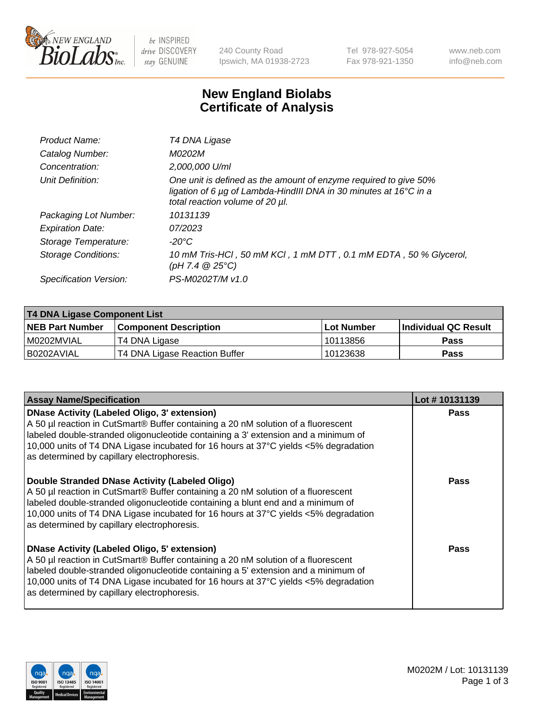

be INSPIRED drive DISCOVERY stay GENUINE

240 County Road Ipswich, MA 01938-2723 Tel 978-927-5054 Fax 978-921-1350 www.neb.com info@neb.com

## **New England Biolabs Certificate of Analysis**

| Product Name:              | T4 DNA Ligase                                                                                                                                                            |
|----------------------------|--------------------------------------------------------------------------------------------------------------------------------------------------------------------------|
| Catalog Number:            | M0202M                                                                                                                                                                   |
| Concentration:             | 2,000,000 U/ml                                                                                                                                                           |
| Unit Definition:           | One unit is defined as the amount of enzyme required to give 50%<br>ligation of 6 µg of Lambda-HindIII DNA in 30 minutes at 16°C in a<br>total reaction volume of 20 µl. |
| Packaging Lot Number:      | 10131139                                                                                                                                                                 |
| <b>Expiration Date:</b>    | 07/2023                                                                                                                                                                  |
| Storage Temperature:       | -20°C                                                                                                                                                                    |
| <b>Storage Conditions:</b> | 10 mM Tris-HCl, 50 mM KCl, 1 mM DTT, 0.1 mM EDTA, 50 % Glycerol,<br>(pH 7.4 $@25°C$ )                                                                                    |
| Specification Version:     | PS-M0202T/M v1.0                                                                                                                                                         |

| T4 DNA Ligase Component List |                               |            |                             |  |
|------------------------------|-------------------------------|------------|-----------------------------|--|
| <b>NEB Part Number</b>       | <b>Component Description</b>  | Lot Number | <b>Individual QC Result</b> |  |
| I M0202MVIAL                 | T4 DNA Ligase                 | 10113856   | <b>Pass</b>                 |  |
| I B0202AVIAL                 | T4 DNA Ligase Reaction Buffer | 10123638   | <b>Pass</b>                 |  |

| <b>Assay Name/Specification</b>                                                                                                                                                                                                                                                                                                                               | Lot #10131139 |
|---------------------------------------------------------------------------------------------------------------------------------------------------------------------------------------------------------------------------------------------------------------------------------------------------------------------------------------------------------------|---------------|
| DNase Activity (Labeled Oligo, 3' extension)<br>A 50 µl reaction in CutSmart® Buffer containing a 20 nM solution of a fluorescent<br>labeled double-stranded oligonucleotide containing a 3' extension and a minimum of<br>10,000 units of T4 DNA Ligase incubated for 16 hours at 37°C yields <5% degradation<br>as determined by capillary electrophoresis. | <b>Pass</b>   |
| Double Stranded DNase Activity (Labeled Oligo)<br>A 50 µl reaction in CutSmart® Buffer containing a 20 nM solution of a fluorescent<br>labeled double-stranded oligonucleotide containing a blunt end and a minimum of<br>10,000 units of T4 DNA Ligase incubated for 16 hours at 37°C yields <5% degradation<br>as determined by capillary electrophoresis.  | <b>Pass</b>   |
| DNase Activity (Labeled Oligo, 5' extension)<br>A 50 µl reaction in CutSmart® Buffer containing a 20 nM solution of a fluorescent<br>labeled double-stranded oligonucleotide containing a 5' extension and a minimum of<br>10,000 units of T4 DNA Ligase incubated for 16 hours at 37°C yields <5% degradation<br>as determined by capillary electrophoresis. | Pass          |

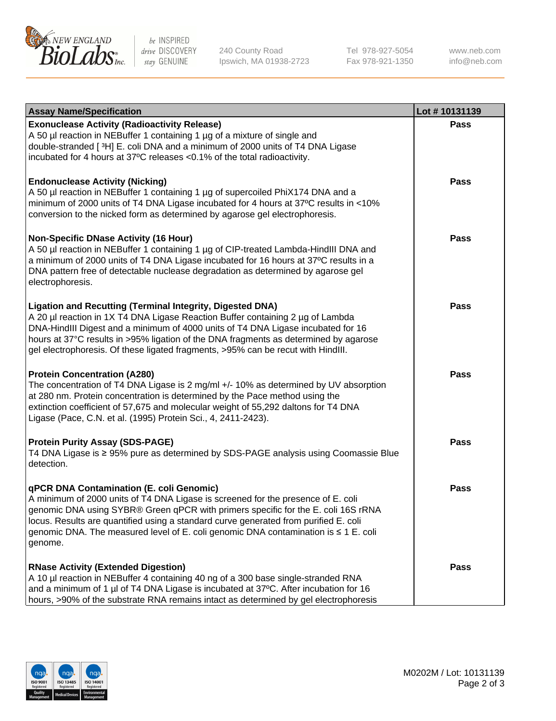

be INSPIRED drive DISCOVERY stay GENUINE

240 County Road Ipswich, MA 01938-2723 Tel 978-927-5054 Fax 978-921-1350 www.neb.com info@neb.com

| <b>Assay Name/Specification</b>                                                                                                                                                                                                                                                                                                                                                                                    | Lot #10131139 |
|--------------------------------------------------------------------------------------------------------------------------------------------------------------------------------------------------------------------------------------------------------------------------------------------------------------------------------------------------------------------------------------------------------------------|---------------|
| <b>Exonuclease Activity (Radioactivity Release)</b><br>A 50 µl reaction in NEBuffer 1 containing 1 µg of a mixture of single and<br>double-stranded [3H] E. coli DNA and a minimum of 2000 units of T4 DNA Ligase<br>incubated for 4 hours at 37°C releases <0.1% of the total radioactivity.                                                                                                                      | <b>Pass</b>   |
| <b>Endonuclease Activity (Nicking)</b><br>A 50 µl reaction in NEBuffer 1 containing 1 µg of supercoiled PhiX174 DNA and a<br>minimum of 2000 units of T4 DNA Ligase incubated for 4 hours at 37°C results in <10%<br>conversion to the nicked form as determined by agarose gel electrophoresis.                                                                                                                   | <b>Pass</b>   |
| <b>Non-Specific DNase Activity (16 Hour)</b><br>A 50 µl reaction in NEBuffer 1 containing 1 µg of CIP-treated Lambda-HindIII DNA and<br>a minimum of 2000 units of T4 DNA Ligase incubated for 16 hours at 37°C results in a<br>DNA pattern free of detectable nuclease degradation as determined by agarose gel<br>electrophoresis.                                                                               | Pass          |
| <b>Ligation and Recutting (Terminal Integrity, Digested DNA)</b><br>A 20 µl reaction in 1X T4 DNA Ligase Reaction Buffer containing 2 µg of Lambda<br>DNA-HindIII Digest and a minimum of 4000 units of T4 DNA Ligase incubated for 16<br>hours at 37°C results in >95% ligation of the DNA fragments as determined by agarose<br>gel electrophoresis. Of these ligated fragments, >95% can be recut with HindIII. | <b>Pass</b>   |
| <b>Protein Concentration (A280)</b><br>The concentration of T4 DNA Ligase is 2 mg/ml +/- 10% as determined by UV absorption<br>at 280 nm. Protein concentration is determined by the Pace method using the<br>extinction coefficient of 57,675 and molecular weight of 55,292 daltons for T4 DNA<br>Ligase (Pace, C.N. et al. (1995) Protein Sci., 4, 2411-2423).                                                  | <b>Pass</b>   |
| <b>Protein Purity Assay (SDS-PAGE)</b><br>T4 DNA Ligase is ≥ 95% pure as determined by SDS-PAGE analysis using Coomassie Blue<br>detection.                                                                                                                                                                                                                                                                        | <b>Pass</b>   |
| qPCR DNA Contamination (E. coli Genomic)<br>A minimum of 2000 units of T4 DNA Ligase is screened for the presence of E. coli<br>genomic DNA using SYBR® Green qPCR with primers specific for the E. coli 16S rRNA<br>locus. Results are quantified using a standard curve generated from purified E. coli<br>genomic DNA. The measured level of E. coli genomic DNA contamination is ≤ 1 E. coli<br>genome.        | <b>Pass</b>   |
| <b>RNase Activity (Extended Digestion)</b><br>A 10 µl reaction in NEBuffer 4 containing 40 ng of a 300 base single-stranded RNA<br>and a minimum of 1 µl of T4 DNA Ligase is incubated at 37°C. After incubation for 16<br>hours, >90% of the substrate RNA remains intact as determined by gel electrophoresis                                                                                                    | Pass          |